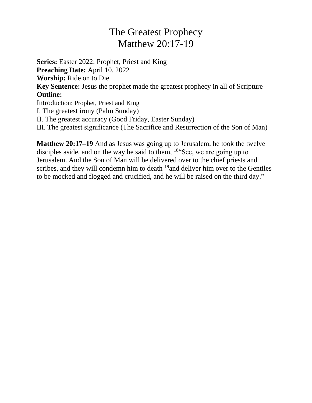## The Greatest Prophecy Matthew 20:17-19

**Series:** Easter 2022: Prophet, Priest and King **Preaching Date:** April 10, 2022 **Worship:** Ride on to Die **Key Sentence:** Jesus the prophet made the greatest prophecy in all of Scripture **Outline:** Introduction: Prophet, Priest and King I. The greatest irony (Palm Sunday) II. The greatest accuracy (Good Friday, Easter Sunday) III. The greatest significance (The Sacrifice and Resurrection of the Son of Man)

**Matthew 20:17–19** And as Jesus was going up to Jerusalem, he took the twelve disciples aside, and on the way he said to them, <sup>18"</sup>See, we are going up to Jerusalem. And the Son of Man will be delivered over to the chief priests and scribes, and they will condemn him to death <sup>19</sup> and deliver him over to the Gentiles to be mocked and flogged and crucified, and he will be raised on the third day."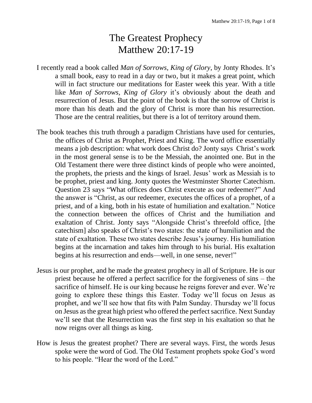## The Greatest Prophecy Matthew 20:17-19

- I recently read a book called *Man of Sorrows, King of Glory*, by Jonty Rhodes. It's a small book, easy to read in a day or two, but it makes a great point, which will in fact structure our meditations for Easter week this year. With a title like *Man of Sorrows, King of Glory* it's obviously about the death and resurrection of Jesus. But the point of the book is that the sorrow of Christ is more than his death and the glory of Christ is more than his resurrection. Those are the central realities, but there is a lot of territory around them.
- The book teaches this truth through a paradigm Christians have used for centuries, the offices of Christ as Prophet, Priest and King. The word office essentially means a job description: what work does Christ do? Jonty says Christ's work in the most general sense is to be the Messiah, the anointed one. But in the Old Testament there were three distinct kinds of people who were anointed, the prophets, the priests and the kings of Israel. Jesus' work as Messiah is to be prophet, priest and king. Jonty quotes the Westminster Shorter Catechism. Question 23 says "What offices does Christ execute as our redeemer?" And the answer is "Christ, as our redeemer, executes the offices of a prophet, of a priest, and of a king, both in his estate of humiliation and exaltation." Notice the connection between the offices of Christ and the humiliation and exaltation of Christ. Jonty says "Alongside Christ's threefold office, [the catechism] also speaks of Christ's two states: the state of humiliation and the state of exaltation. These two states describe Jesus's journey. His humiliation begins at the incarnation and takes him through to his burial. His exaltation begins at his resurrection and ends—well, in one sense, never!"
- Jesus is our prophet, and he made the greatest prophecy in all of Scripture. He is our priest because he offered a perfect sacrifice for the forgiveness of sins – the sacrifice of himself. He is our king because he reigns forever and ever. We're going to explore these things this Easter. Today we'll focus on Jesus as prophet, and we'll see how that fits with Palm Sunday. Thursday we'll focus on Jesus as the great high priest who offered the perfect sacrifice. Next Sunday we'll see that the Resurrection was the first step in his exaltation so that he now reigns over all things as king.
- How is Jesus the greatest prophet? There are several ways. First, the words Jesus spoke were the word of God. The Old Testament prophets spoke God's word to his people. "Hear the word of the Lord."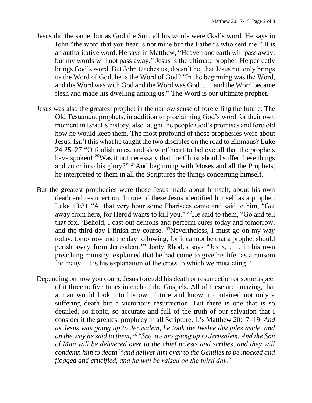- Jesus did the same, but as God the Son, all his words were God's word. He says in John "the word that you hear is not mine but the Father's who sent me." It is an authoritative word. He says in Matthew, "Heaven and earth will pass away, but my words will not pass away." Jesus is the ultimate prophet. He perfectly brings God's word. But John teaches us, doesn't he, that Jesus not only brings us the Word of God, he is the Word of God? "In the beginning was the Word, and the Word was with God and the Word was God. . . . and the Word became flesh and made his dwelling among us." The Word is our ultimate prophet.
- Jesus was also the greatest prophet in the narrow sense of foretelling the future. The Old Testament prophets, in addition to proclaiming God's word for their own moment in Israel's history, also taught the people God's promises and foretold how he would keep them. The most profound of those prophesies were about Jesus. Isn't this what he taught the two disciples on the road to Emmaus? Luke 24:25–27 "O foolish ones, and slow of heart to believe all that the prophets have spoken! <sup>26</sup>Was it not necessary that the Christ should suffer these things and enter into his glory?" <sup>27</sup>And beginning with Moses and all the Prophets, he interpreted to them in all the Scriptures the things concerning himself.
- But the greatest prophecies were those Jesus made about himself, about his own death and resurrection. In one of these Jesus identified himself as a prophet. Luke 13:31 "At that very hour some Pharisees came and said to him, "Get away from here, for Herod wants to kill you." <sup>32</sup>He said to them, "Go and tell that fox, 'Behold, I cast out demons and perform cures today and tomorrow, and the third day I finish my course.  $33$ Nevertheless, I must go on my way today, tomorrow and the day following, for it cannot be that a prophet should perish away from Jerusalem.'" Jonty Rhodes says "Jesus, . . . in his own preaching ministry, explained that he had come to give his life 'as a ransom for many.' It is his explanation of the cross to which we must cling."
- Depending on how you count, Jesus foretold his death or resurrection or some aspect of it three to five times in each of the Gospels. All of these are amazing, that a man would look into his own future and know it contained not only a suffering death but a victorious resurrection. But there is one that is so detailed, so ironic, so accurate and full of the truth of our salvation that I consider it the greatest prophecy in all Scripture. It's Matthew 20:17–19 *And as Jesus was going up to Jerusalem, he took the twelve disciples aside, and on the way he said to them, <sup>18</sup>"See, we are going up to Jerusalem. And the Son of Man will be delivered over to the chief priests and scribes, and they will condemn him to death <sup>19</sup>and deliver him over to the Gentiles to be mocked and flogged and crucified, and he will be raised on the third day."*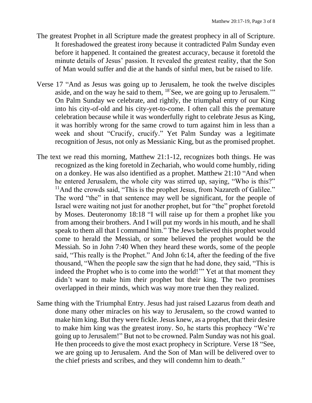- The greatest Prophet in all Scripture made the greatest prophecy in all of Scripture. It foreshadowed the greatest irony because it contradicted Palm Sunday even before it happened. It contained the greatest accuracy, because it foretold the minute details of Jesus' passion. It revealed the greatest reality, that the Son of Man would suffer and die at the hands of sinful men, but be raised to life.
- Verse 17 "And as Jesus was going up to Jerusalem, he took the twelve disciples aside, and on the way he said to them, 18'See, we are going up to Jerusalem.'" On Palm Sunday we celebrate, and rightly, the triumphal entry of our King into his city-of-old and his city-yet-to-come. I often call this the premature celebration because while it was wonderfully right to celebrate Jesus as King, it was horribly wrong for the same crowd to turn against him in less than a week and shout "Crucify, crucify." Yet Palm Sunday was a legitimate recognition of Jesus, not only as Messianic King, but as the promised prophet.
- The text we read this morning, Matthew 21:1-12, recognizes both things. He was recognized as the king foretold in Zechariah, who would come humbly, riding on a donkey. He was also identified as a prophet. Matthew 21:10 "And when he entered Jerusalem, the whole city was stirred up, saying, "Who is this?" <sup>11</sup>And the crowds said, "This is the prophet Jesus, from Nazareth of Galilee." The word "the" in that sentence may well be significant, for the people of Israel were waiting not just for another prophet, but for "the" prophet foretold by Moses. Deuteronomy 18:18 "I will raise up for them a prophet like you from among their brothers. And I will put my words in his mouth, and he shall speak to them all that I command him." The Jews believed this prophet would come to herald the Messiah, or some believed the prophet would be the Messiah. So in John 7:40 When they heard these words, some of the people said, "This really is the Prophet." And John 6:14, after the feeding of the five thousand, "When the people saw the sign that he had done, they said, "This is indeed the Prophet who is to come into the world!'" Yet at that moment they didn't want to make him their prophet but their king. The two promises overlapped in their minds, which was way more true then they realized.
- Same thing with the Triumphal Entry. Jesus had just raised Lazarus from death and done many other miracles on his way to Jerusalem, so the crowd wanted to make him king. But they were fickle. Jesus knew, as a prophet, that their desire to make him king was the greatest irony. So, he starts this prophecy "We're going up to Jerusalem!" But not to be crowned. Palm Sunday was not his goal. He then proceeds to give the most exact prophecy in Scripture. Verse 18 "See, we are going up to Jerusalem. And the Son of Man will be delivered over to the chief priests and scribes, and they will condemn him to death."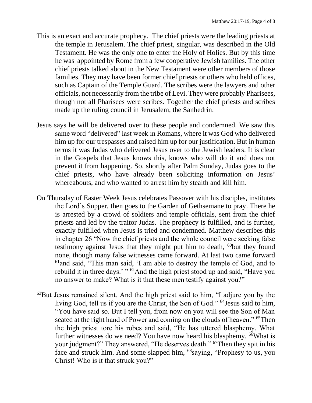- This is an exact and accurate prophecy. The chief priests were the leading priests at the temple in Jerusalem. The chief priest, singular, was described in the Old Testament. He was the only one to enter the Holy of Holies. But by this time he was appointed by Rome from a few cooperative Jewish families. The other chief priests talked about in the New Testament were other members of those families. They may have been former chief priests or others who held offices, such as Captain of the Temple Guard. The scribes were the lawyers and other officials, not necessarily from the tribe of Levi. They were probably Pharisees, though not all Pharisees were scribes. Together the chief priests and scribes made up the ruling council in Jerusalem, the Sanhedrin.
- Jesus says he will be delivered over to these people and condemned. We saw this same word "delivered" last week in Romans, where it was God who delivered him up for our trespasses and raised him up for our justification. But in human terms it was Judas who delivered Jesus over to the Jewish leaders. It is clear in the Gospels that Jesus knows this, knows who will do it and does not prevent it from happening. So, shortly after Palm Sunday, Judas goes to the chief priests, who have already been soliciting information on Jesus' whereabouts, and who wanted to arrest him by stealth and kill him.
- On Thursday of Easter Week Jesus celebrates Passover with his disciples, institutes the Lord's Supper, then goes to the Garden of Gethsemane to pray. There he is arrested by a crowd of soldiers and temple officials, sent from the chief priests and led by the traitor Judas. The prophecy is fulfilled, and is further, exactly fulfilled when Jesus is tried and condemned. Matthew describes this in chapter 26 "Now the chief priests and the whole council were seeking false testimony against Jesus that they might put him to death, <sup>60</sup>but they found none, though many false witnesses came forward. At last two came forward <sup>61</sup>and said, "This man said, 'I am able to destroy the temple of God, and to rebuild it in three days.' "<sup>62</sup>And the high priest stood up and said, "Have you no answer to make? What is it that these men testify against you?"
- <sup>63</sup>But Jesus remained silent. And the high priest said to him, "I adjure you by the living God, tell us if you are the Christ, the Son of God." <sup>64</sup>Jesus said to him, "You have said so. But I tell you, from now on you will see the Son of Man seated at the right hand of Power and coming on the clouds of heaven." <sup>65</sup>Then the high priest tore his robes and said, "He has uttered blasphemy. What further witnesses do we need? You have now heard his blasphemy. <sup>66</sup>What is your judgment?" They answered, "He deserves death." <sup>67</sup>Then they spit in his face and struck him. And some slapped him, <sup>68</sup>saying, "Prophesy to us, you Christ! Who is it that struck you?"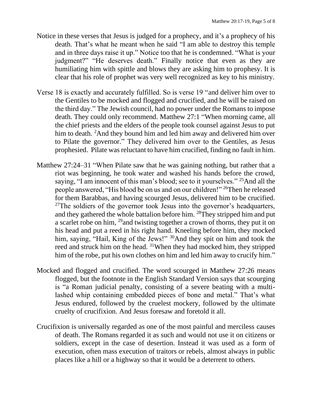- Notice in these verses that Jesus is judged for a prophecy, and it's a prophecy of his death. That's what he meant when he said "I am able to destroy this temple and in three days raise it up." Notice too that he is condemned. "What is your judgment?" "He deserves death." Finally notice that even as they are humiliating him with spittle and blows they are asking him to prophesy. It is clear that his role of prophet was very well recognized as key to his ministry.
- Verse 18 is exactly and accurately fulfilled. So is verse 19 "and deliver him over to the Gentiles to be mocked and flogged and crucified, and he will be raised on the third day." The Jewish council, had no power under the Romans to impose death. They could only recommend. Matthew 27:1 "When morning came, all the chief priests and the elders of the people took counsel against Jesus to put him to death. <sup>2</sup>And they bound him and led him away and delivered him over to Pilate the governor." They delivered him over to the Gentiles, as Jesus prophesied. Pilate was reluctant to have him crucified, finding no fault in him.
- Matthew 27:24–31 "When Pilate saw that he was gaining nothing, but rather that a riot was beginning, he took water and washed his hands before the crowd, saying, "I am innocent of this man's blood; see to it yourselves." <sup>25</sup>And all the people answered, "His blood be on us and on our children!" <sup>26</sup>Then he released for them Barabbas, and having scourged Jesus, delivered him to be crucified.  $27$ The soldiers of the governor took Jesus into the governor's headquarters, and they gathered the whole battalion before him. <sup>28</sup>They stripped him and put a scarlet robe on him, <sup>29</sup> and twisting together a crown of thorns, they put it on his head and put a reed in his right hand. Kneeling before him, they mocked him, saying, "Hail, King of the Jews!" <sup>30</sup>And they spit on him and took the reed and struck him on the head. <sup>31</sup>When they had mocked him, they stripped him of the robe, put his own clothes on him and led him away to crucify him."
- Mocked and flogged and crucified. The word scourged in Matthew 27:26 means flogged, but the footnote in the English Standard Version says that scourging is "a Roman judicial penalty, consisting of a severe beating with a multilashed whip containing embedded pieces of bone and metal." That's what Jesus endured, followed by the cruelest mockery, followed by the ultimate cruelty of crucifixion. And Jesus foresaw and foretold it all.
- Crucifixion is universally regarded as one of the most painful and merciless causes of death. The Romans regarded it as such and would not use it on citizens or soldiers, except in the case of desertion. Instead it was used as a form of execution, often mass execution of traitors or rebels, almost always in public places like a hill or a highway so that it would be a deterrent to others.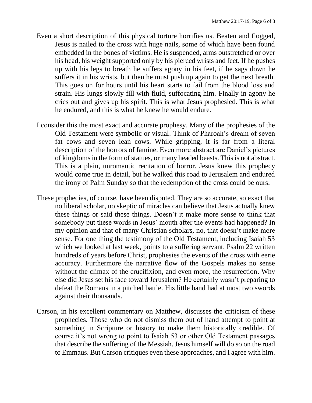- Even a short description of this physical torture horrifies us. Beaten and flogged, Jesus is nailed to the cross with huge nails, some of which have been found embedded in the bones of victims. He is suspended, arms outstretched or over his head, his weight supported only by his pierced wrists and feet. If he pushes up with his legs to breath he suffers agony in his feet, if he sags down he suffers it in his wrists, but then he must push up again to get the next breath. This goes on for hours until his heart starts to fail from the blood loss and strain. His lungs slowly fill with fluid, suffocating him. Finally in agony he cries out and gives up his spirit. This is what Jesus prophesied. This is what he endured, and this is what he knew he would endure.
- I consider this the most exact and accurate prophesy. Many of the prophesies of the Old Testament were symbolic or visual. Think of Pharoah's dream of seven fat cows and seven lean cows. While gripping, it is far from a literal description of the horrors of famine. Even more abstract are Daniel's pictures of kingdoms in the form of statues, or many headed beasts. This is not abstract. This is a plain, unromantic recitation of horror. Jesus knew this prophecy would come true in detail, but he walked this road to Jerusalem and endured the irony of Palm Sunday so that the redemption of the cross could be ours.
- These prophecies, of course, have been disputed. They are so accurate, so exact that no liberal scholar, no skeptic of miracles can believe that Jesus actually knew these things or said these things. Doesn't it make more sense to think that somebody put these words in Jesus' mouth after the events had happened? In my opinion and that of many Christian scholars, no, that doesn't make more sense. For one thing the testimony of the Old Testament, including Isaiah 53 which we looked at last week, points to a suffering servant. Psalm 22 written hundreds of years before Christ, prophesies the events of the cross with eerie accuracy. Furthermore the narrative flow of the Gospels makes no sense without the climax of the crucifixion, and even more, the resurrection. Why else did Jesus set his face toward Jerusalem? He certainly wasn't preparing to defeat the Romans in a pitched battle. His little band had at most two swords against their thousands.
- Carson, in his excellent commentary on Matthew, discusses the criticism of these prophecies. Those who do not dismiss them out of hand attempt to point at something in Scripture or history to make them historically credible. Of course it's not wrong to point to Isaiah 53 or other Old Testament passages that describe the suffering of the Messiah. Jesus himself will do so on the road to Emmaus. But Carson critiques even these approaches, and I agree with him.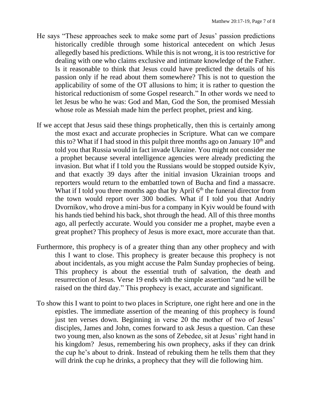- He says "These approaches seek to make some part of Jesus' passion predictions historically credible through some historical antecedent on which Jesus allegedly based his predictions. While this is not wrong, it is too restrictive for dealing with one who claims exclusive and intimate knowledge of the Father. Is it reasonable to think that Jesus could have predicted the details of his passion only if he read about them somewhere? This is not to question the applicability of some of the OT allusions to him; it is rather to question the historical reductionism of some Gospel research." In other words we need to let Jesus be who he was: God and Man, God the Son, the promised Messiah whose role as Messiah made him the perfect prophet, priest and king.
- If we accept that Jesus said these things prophetically, then this is certainly among the most exact and accurate prophecies in Scripture. What can we compare this to? What if I had stood in this pulpit three months ago on January  $10<sup>th</sup>$  and told you that Russia would in fact invade Ukraine. You might not consider me a prophet because several intelligence agencies were already predicting the invasion. But what if I told you the Russians would be stopped outside Kyiv, and that exactly 39 days after the initial invasion Ukrainian troops and reporters would return to the embattled town of Bucha and find a massacre. What if I told you three months ago that by April  $6<sup>th</sup>$  the funeral director from the town would report over 300 bodies. What if I told you that Andriy Dvornikov, who drove a mini-bus for a company in Kyiv would be found with his hands tied behind his back, shot through the head. All of this three months ago, all perfectly accurate. Would you consider me a prophet, maybe even a great prophet? This prophecy of Jesus is more exact, more accurate than that.
- Furthermore, this prophecy is of a greater thing than any other prophecy and with this I want to close. This prophecy is greater because this prophecy is not about incidentals, as you might accuse the Palm Sunday prophecies of being. This prophecy is about the essential truth of salvation, the death and resurrection of Jesus. Verse 19 ends with the simple assertion "and he will be raised on the third day." This prophecy is exact, accurate and significant.
- To show this I want to point to two places in Scripture, one right here and one in the epistles. The immediate assertion of the meaning of this prophecy is found just ten verses down. Beginning in verse 20 the mother of two of Jesus' disciples, James and John, comes forward to ask Jesus a question. Can these two young men, also known as the sons of Zebedee, sit at Jesus' right hand in his kingdom? Jesus, remembering his own prophecy, asks if they can drink the cup he's about to drink. Instead of rebuking them he tells them that they will drink the cup he drinks, a prophecy that they will die following him.